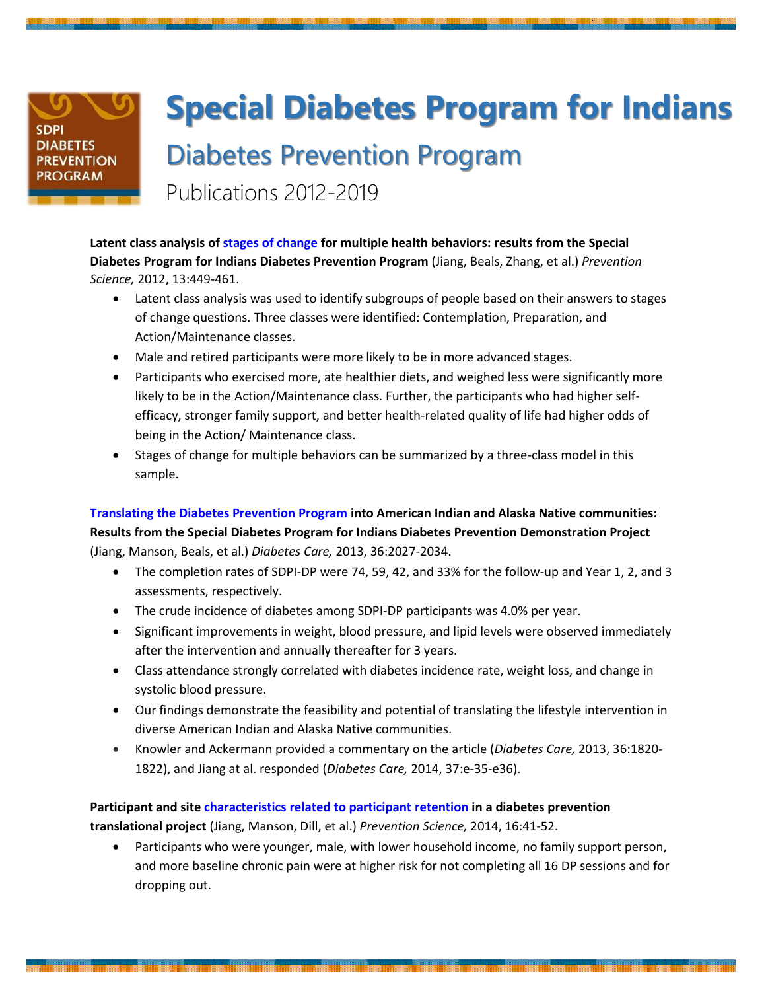## **SDPI DIABETES PREVENTION ROGRAM**

## **Special Diabetes Program for Indians** Diabetes Prevention Program Publications 2012-2019

**Latent class analysis of stages of change for multiple health behaviors: results from the Special Diabetes Program for Indians Diabetes Prevention Program** (Jiang, Beals, Zhang, et al.) *Prevention Science,* 2012, 13:449-461.

- Latent class analysis was used to identify subgroups of people based on their answers to stages of change questions. Three classes were identified: Contemplation, Preparation, and Action/Maintenance classes.
- Male and retired participants were more likely to be in more advanced stages.
- Participants who exercised more, ate healthier diets, and weighed less were significantly more likely to be in the Action/Maintenance class. Further, the participants who had higher selfefficacy, stronger family support, and better health-related quality of life had higher odds of being in the Action/ Maintenance class.
- Stages of change for multiple behaviors can be summarized by a three-class model in this sample.

**Translating the Diabetes Prevention Program into American Indian and Alaska Native communities: Results from the Special Diabetes Program for Indians Diabetes Prevention Demonstration Project**

(Jiang, Manson, Beals, et al.) *Diabetes Care,* 2013, 36:2027-2034.

- The completion rates of SDPI-DP were 74, 59, 42, and 33% for the follow-up and Year 1, 2, and 3 assessments, respectively.
- The crude incidence of diabetes among SDPI-DP participants was 4.0% per year.
- Significant improvements in weight, blood pressure, and lipid levels were observed immediately after the intervention and annually thereafter for 3 years.
- Class attendance strongly correlated with diabetes incidence rate, weight loss, and change in systolic blood pressure.
- Our findings demonstrate the feasibility and potential of translating the lifestyle intervention in diverse American Indian and Alaska Native communities.
- Knowler and Ackermann provided a commentary on the article (*Diabetes Care,* 2013, 36:1820- 1822), and Jiang at al. responded (*Diabetes Care,* 2014, 37:e-35-e36).

**Participant and site characteristics related to participant retention in a diabetes prevention translational project** (Jiang, Manson, Dill, et al.) *Prevention Science,* 2014, 16:41-52.

 Participants who were younger, male, with lower household income, no family support person, and more baseline chronic pain were at higher risk for not completing all 16 DP sessions and for dropping out.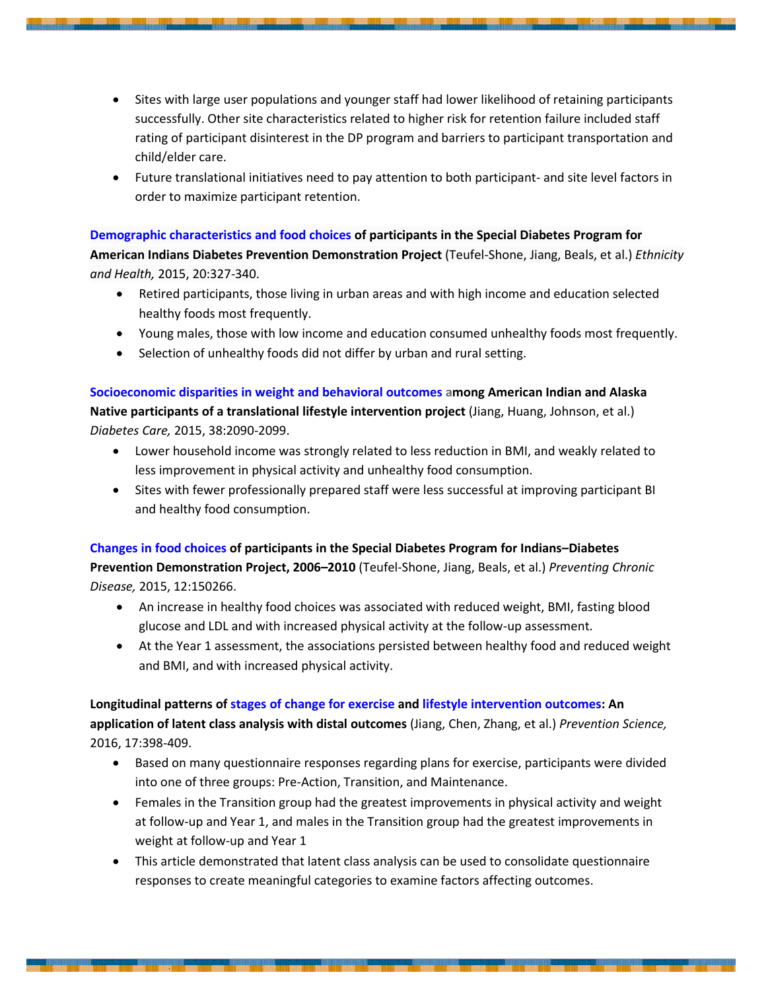- Sites with large user populations and younger staff had lower likelihood of retaining participants successfully. Other site characteristics related to higher risk for retention failure included staff rating of participant disinterest in the DP program and barriers to participant transportation and child/elder care.
- Future translational initiatives need to pay attention to both participant- and site level factors in order to maximize participant retention.

**Demographic characteristics and food choices of participants in the Special Diabetes Program for American Indians Diabetes Prevention Demonstration Project** (Teufel-Shone, Jiang, Beals, et al.) *Ethnicity and Health,* 2015, 20:327-340.

- Retired participants, those living in urban areas and with high income and education selected healthy foods most frequently.
- Young males, those with low income and education consumed unhealthy foods most frequently.
- Selection of unhealthy foods did not differ by urban and rural setting.

**Socioeconomic disparities in weight and behavioral outcomes among American Indian and Alaska Native participants of a translational lifestyle intervention project** (Jiang, Huang, Johnson, et al.) *Diabetes Care,* 2015, 38:2090-2099.

- Lower household income was strongly related to less reduction in BMI, and weakly related to less improvement in physical activity and unhealthy food consumption.
- Sites with fewer professionally prepared staff were less successful at improving participant BI and healthy food consumption.

**Changes in food choices of participants in the Special Diabetes Program for Indians–Diabetes Prevention Demonstration Project, 2006–2010** (Teufel-Shone, Jiang, Beals, et al.) *Preventing Chronic Disease,* 2015, 12:150266.

- An increase in healthy food choices was associated with reduced weight, BMI, fasting blood glucose and LDL and with increased physical activity at the follow-up assessment.
- At the Year 1 assessment, the associations persisted between healthy food and reduced weight and BMI, and with increased physical activity.

**Longitudinal patterns of stages of change for exercise and lifestyle intervention outcomes: An application of latent class analysis with distal outcomes** (Jiang, Chen, Zhang, et al.) *Prevention Science,* 2016, 17:398-409.

- Based on many questionnaire responses regarding plans for exercise, participants were divided into one of three groups: Pre-Action, Transition, and Maintenance.
- Females in the Transition group had the greatest improvements in physical activity and weight at follow-up and Year 1, and males in the Transition group had the greatest improvements in weight at follow-up and Year 1
- This article demonstrated that latent class analysis can be used to consolidate questionnaire responses to create meaningful categories to examine factors affecting outcomes.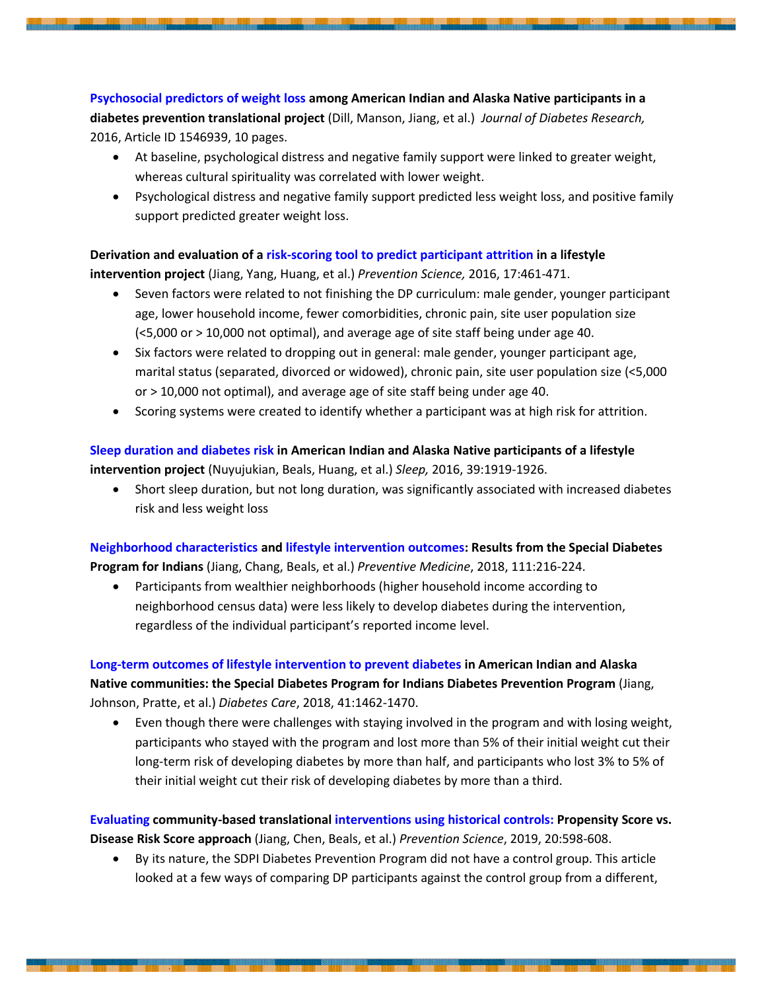**Psychosocial predictors of weight loss among American Indian and Alaska Native participants in a diabetes prevention translational project** (Dill, Manson, Jiang, et al.) *Journal of Diabetes Research,* 2016, Article ID 1546939, 10 pages.

- At baseline, psychological distress and negative family support were linked to greater weight, whereas cultural spirituality was correlated with lower weight.
- Psychological distress and negative family support predicted less weight loss, and positive family support predicted greater weight loss.

**Derivation and evaluation of a risk-scoring tool to predict participant attrition in a lifestyle intervention project** (Jiang, Yang, Huang, et al.) *Prevention Science,* 2016, 17:461-471.

- Seven factors were related to not finishing the DP curriculum: male gender, younger participant age, lower household income, fewer comorbidities, chronic pain, site user population size (<5,000 or > 10,000 not optimal), and average age of site staff being under age 40.
- Six factors were related to dropping out in general: male gender, younger participant age, marital status (separated, divorced or widowed), chronic pain, site user population size (<5,000 or > 10,000 not optimal), and average age of site staff being under age 40.
- Scoring systems were created to identify whether a participant was at high risk for attrition.

## **Sleep duration and diabetes risk in American Indian and Alaska Native participants of a lifestyle intervention project** (Nuyujukian, Beals, Huang, et al.) *Sleep,* 2016, 39:1919-1926.

 Short sleep duration, but not long duration, was significantly associated with increased diabetes risk and less weight loss

**Neighborhood characteristics and lifestyle intervention outcomes: Results from the Special Diabetes Program for Indians** (Jiang, Chang, Beals, et al.) *Preventive Medicine*, 2018, 111:216-224.

 Participants from wealthier neighborhoods (higher household income according to neighborhood census data) were less likely to develop diabetes during the intervention, regardless of the individual participant's reported income level.

## **Long-term outcomes of lifestyle intervention to prevent diabetes in American Indian and Alaska Native communities: the Special Diabetes Program for Indians Diabetes Prevention Program** (Jiang, Johnson, Pratte, et al.) *Diabetes Care*, 2018, 41:1462-1470.

 Even though there were challenges with staying involved in the program and with losing weight, participants who stayed with the program and lost more than 5% of their initial weight cut their long-term risk of developing diabetes by more than half, and participants who lost 3% to 5% of their initial weight cut their risk of developing diabetes by more than a third.

**Evaluating community-based translational interventions using historical controls: Propensity Score vs. Disease Risk Score approach** (Jiang, Chen, Beals, et al.) *Prevention Science*, 2019, 20:598-608.

 By its nature, the SDPI Diabetes Prevention Program did not have a control group. This article looked at a few ways of comparing DP participants against the control group from a different,